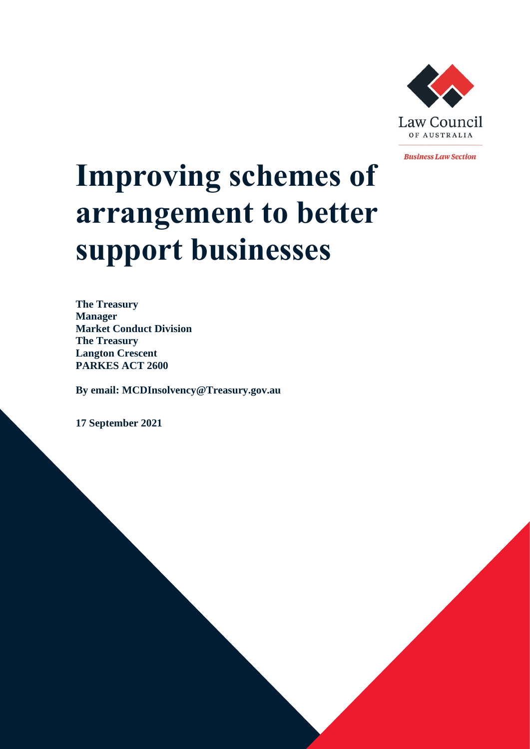

**Business Law Section** 

# **Improving schemes of arrangement to better support businesses**

**The Treasury Manager Market Conduct Division The Treasury Langton Crescent PARKES ACT 2600**

**By email: MCDInsolvency@Treasury.gov.au** 

**17 September 2021**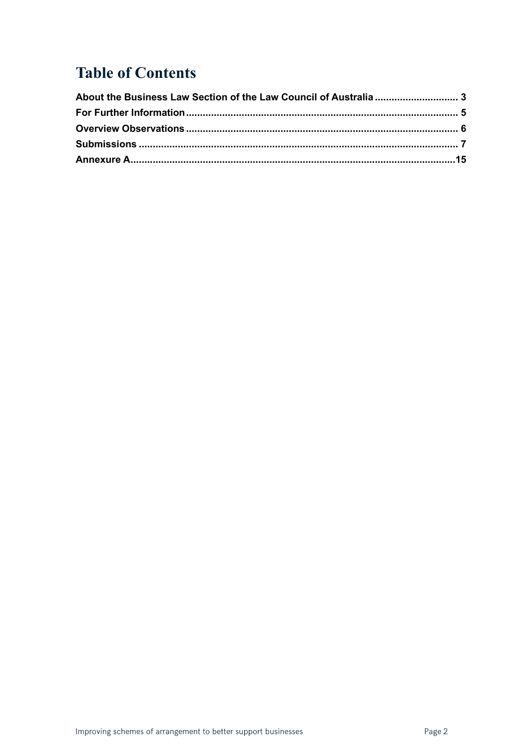# **Table of Contents**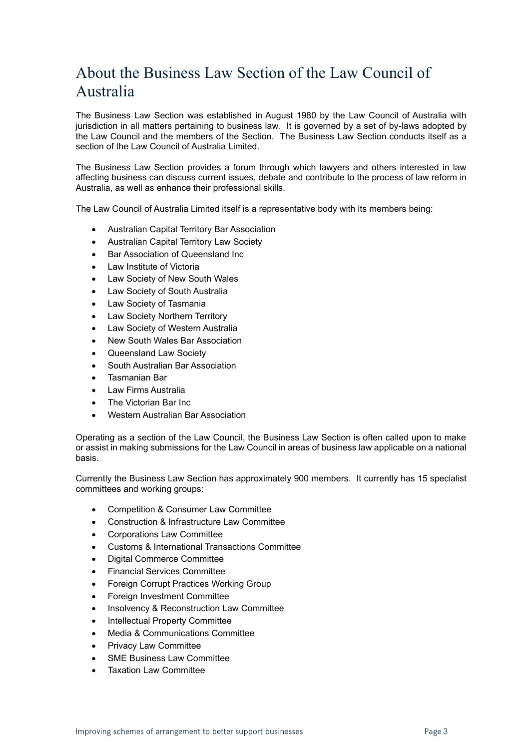# <span id="page-2-0"></span>About the Business Law Section of the Law Council of Australia

The Business Law Section was established in August 1980 by the Law Council of Australia with jurisdiction in all matters pertaining to business law. It is governed by a set of by-laws adopted by the Law Council and the members of the Section. The Business Law Section conducts itself as a section of the Law Council of Australia Limited.

The Business Law Section provides a forum through which lawyers and others interested in law affecting business can discuss current issues, debate and contribute to the process of law reform in Australia, as well as enhance their professional skills.

The Law Council of Australia Limited itself is a representative body with its members being:

- Australian Capital Territory Bar Association
- Australian Capital Territory Law Society
- Bar Association of Queensland Inc
- Law Institute of Victoria
- Law Society of New South Wales
- Law Society of South Australia
- Law Society of Tasmania
- Law Society Northern Territory
- Law Society of Western Australia
- New South Wales Bar Association
- Queensland Law Society
- South Australian Bar Association
- Tasmanian Bar
- Law Firms Australia
- The Victorian Bar Inc.
- Western Australian Bar Association

Operating as a section of the Law Council, the Business Law Section is often called upon to make or assist in making submissions for the Law Council in areas of business law applicable on a national basis.

Currently the Business Law Section has approximately 900 members. It currently has 15 specialist committees and working groups:

- Competition & Consumer Law Committee
- Construction & Infrastructure Law Committee
- Corporations Law Committee
- Customs & International Transactions Committee
- Digital Commerce Committee
- Financial Services Committee
- Foreign Corrupt Practices Working Group
- Foreign Investment Committee
- Insolvency & Reconstruction Law Committee
- Intellectual Property Committee
- Media & Communications Committee
- Privacy Law Committee
- SME Business Law Committee
- Taxation Law Committee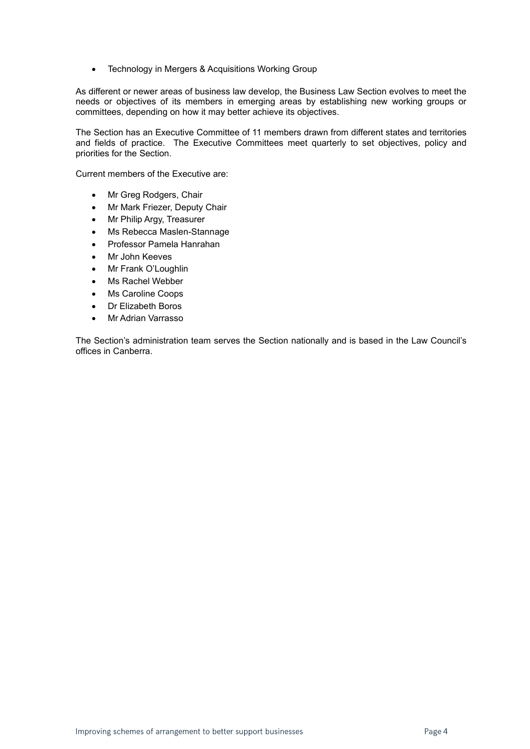• Technology in Mergers & Acquisitions Working Group

As different or newer areas of business law develop, the Business Law Section evolves to meet the needs or objectives of its members in emerging areas by establishing new working groups or committees, depending on how it may better achieve its objectives.

The Section has an Executive Committee of 11 members drawn from different states and territories and fields of practice. The Executive Committees meet quarterly to set objectives, policy and priorities for the Section.

Current members of the Executive are:

- Mr Greg Rodgers, Chair
- Mr Mark Friezer, Deputy Chair
- Mr Philip Argy, Treasurer
- Ms Rebecca Maslen-Stannage
- Professor Pamela Hanrahan
- Mr John Keeves
- Mr Frank O'Loughlin
- Ms Rachel Webber
- Ms Caroline Coops
- Dr Elizabeth Boros
- Mr Adrian Varrasso

The Section's administration team serves the Section nationally and is based in the Law Council's offices in Canberra.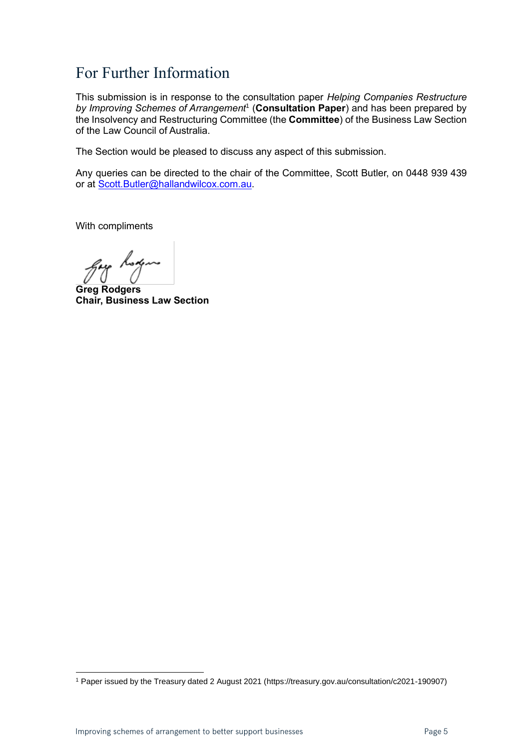## <span id="page-4-0"></span>For Further Information

This submission is in response to the consultation paper *Helping Companies Restructure*  by Improving Schemes of Arrangement<sup>1</sup> (Consultation Paper) and has been prepared by the Insolvency and Restructuring Committee (the **Committee**) of the Business Law Section of the Law Council of Australia.

The Section would be pleased to discuss any aspect of this submission.

Any queries can be directed to the chair of the Committee, Scott Butler, on 0448 939 439 or at [Scott.Butler@hallandwilcox.com.au.](mailto:Scott.Butler@hallandwilcox.com.au)

With compliments

hoxen

**Greg Rodgers Chair, Business Law Section**

<sup>1</sup> Paper issued by the Treasury dated 2 August 2021 (https://treasury.gov.au/consultation/c2021-190907)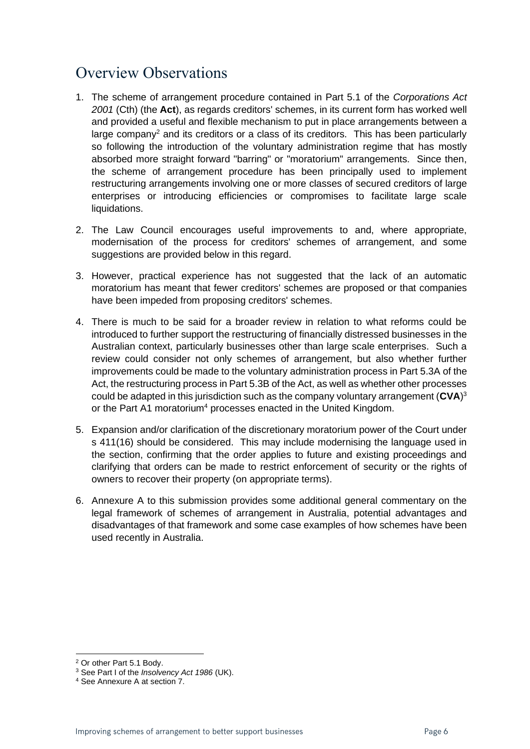## <span id="page-5-0"></span>Overview Observations

- 1. The scheme of arrangement procedure contained in Part 5.1 of the *Corporations Act 2001* (Cth) (the **Act**), as regards creditors' schemes, in its current form has worked well and provided a useful and flexible mechanism to put in place arrangements between a  $l$ arge company<sup>2</sup> and its creditors or a class of its creditors. This has been particularly so following the introduction of the voluntary administration regime that has mostly absorbed more straight forward "barring" or "moratorium" arrangements. Since then, the scheme of arrangement procedure has been principally used to implement restructuring arrangements involving one or more classes of secured creditors of large enterprises or introducing efficiencies or compromises to facilitate large scale liquidations.
- 2. The Law Council encourages useful improvements to and, where appropriate, modernisation of the process for creditors' schemes of arrangement, and some suggestions are provided below in this regard.
- 3. However, practical experience has not suggested that the lack of an automatic moratorium has meant that fewer creditors' schemes are proposed or that companies have been impeded from proposing creditors' schemes.
- 4. There is much to be said for a broader review in relation to what reforms could be introduced to further support the restructuring of financially distressed businesses in the Australian context, particularly businesses other than large scale enterprises. Such a review could consider not only schemes of arrangement, but also whether further improvements could be made to the voluntary administration process in Part 5.3A of the Act, the restructuring process in Part 5.3B of the Act, as well as whether other processes could be adapted in this jurisdiction such as the company voluntary arrangement (**CVA**) 3 or the Part A1 moratorium<sup>4</sup> processes enacted in the United Kingdom.
- 5. Expansion and/or clarification of the discretionary moratorium power of the Court under s 411(16) should be considered. This may include modernising the language used in the section, confirming that the order applies to future and existing proceedings and clarifying that orders can be made to restrict enforcement of security or the rights of owners to recover their property (on appropriate terms).
- 6. Annexure A to this submission provides some additional general commentary on the legal framework of schemes of arrangement in Australia, potential advantages and disadvantages of that framework and some case examples of how schemes have been used recently in Australia.

<sup>2</sup> Or other Part 5.1 Body.

<sup>3</sup> See Part I of the *Insolvency Act 1986* (UK).

<sup>4</sup> See Annexure A at section 7.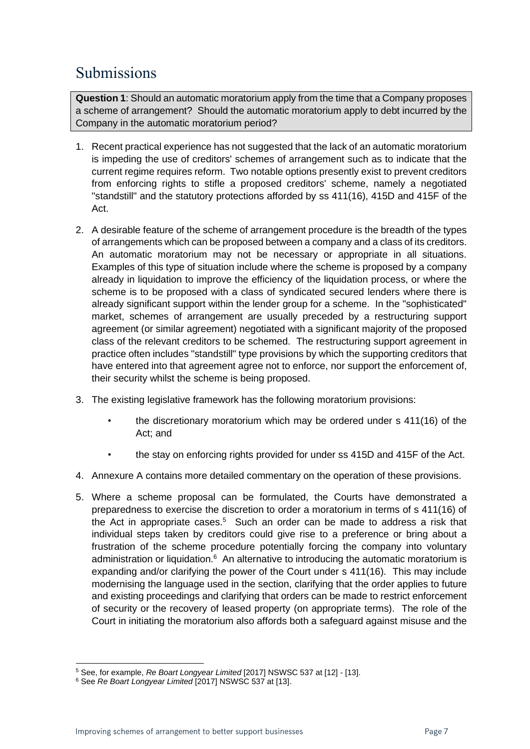# <span id="page-6-0"></span>Submissions

**Question 1**: Should an automatic moratorium apply from the time that a Company proposes a scheme of arrangement? Should the automatic moratorium apply to debt incurred by the Company in the automatic moratorium period?

- 1. Recent practical experience has not suggested that the lack of an automatic moratorium is impeding the use of creditors' schemes of arrangement such as to indicate that the current regime requires reform. Two notable options presently exist to prevent creditors from enforcing rights to stifle a proposed creditors' scheme, namely a negotiated "standstill" and the statutory protections afforded by ss 411(16), 415D and 415F of the Act.
- 2. A desirable feature of the scheme of arrangement procedure is the breadth of the types of arrangements which can be proposed between a company and a class of its creditors. An automatic moratorium may not be necessary or appropriate in all situations. Examples of this type of situation include where the scheme is proposed by a company already in liquidation to improve the efficiency of the liquidation process, or where the scheme is to be proposed with a class of syndicated secured lenders where there is already significant support within the lender group for a scheme. In the "sophisticated" market, schemes of arrangement are usually preceded by a restructuring support agreement (or similar agreement) negotiated with a significant majority of the proposed class of the relevant creditors to be schemed. The restructuring support agreement in practice often includes "standstill" type provisions by which the supporting creditors that have entered into that agreement agree not to enforce, nor support the enforcement of, their security whilst the scheme is being proposed.
- 3. The existing legislative framework has the following moratorium provisions:
	- the discretionary moratorium which may be ordered under s 411(16) of the Act; and
	- the stay on enforcing rights provided for under ss 415D and 415F of the Act.
- 4. Annexure A contains more detailed commentary on the operation of these provisions.
- 5. Where a scheme proposal can be formulated, the Courts have demonstrated a preparedness to exercise the discretion to order a moratorium in terms of s 411(16) of the Act in appropriate cases.<sup>5</sup> Such an order can be made to address a risk that individual steps taken by creditors could give rise to a preference or bring about a frustration of the scheme procedure potentially forcing the company into voluntary administration or liquidation.<sup>6</sup> An alternative to introducing the automatic moratorium is expanding and/or clarifying the power of the Court under s 411(16). This may include modernising the language used in the section, clarifying that the order applies to future and existing proceedings and clarifying that orders can be made to restrict enforcement of security or the recovery of leased property (on appropriate terms). The role of the Court in initiating the moratorium also affords both a safeguard against misuse and the

<sup>5</sup> See, for example, *Re Boart Longyear Limited* [2017] NSWSC 537 at [12] - [13].

<sup>6</sup> See *Re Boart Longyear Limited* [2017] NSWSC 537 at [13].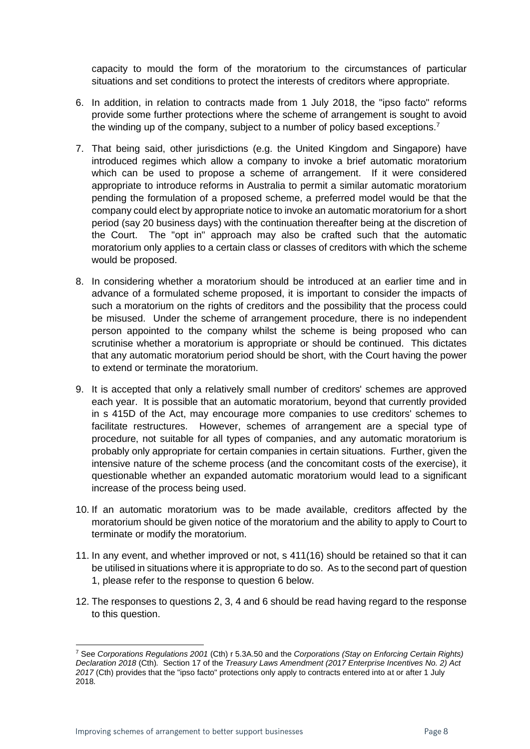capacity to mould the form of the moratorium to the circumstances of particular situations and set conditions to protect the interests of creditors where appropriate.

- 6. In addition, in relation to contracts made from 1 July 2018, the "ipso facto" reforms provide some further protections where the scheme of arrangement is sought to avoid the winding up of the company, subject to a number of policy based exceptions.<sup>7</sup>
- 7. That being said, other jurisdictions (e.g. the United Kingdom and Singapore) have introduced regimes which allow a company to invoke a brief automatic moratorium which can be used to propose a scheme of arrangement. If it were considered appropriate to introduce reforms in Australia to permit a similar automatic moratorium pending the formulation of a proposed scheme, a preferred model would be that the company could elect by appropriate notice to invoke an automatic moratorium for a short period (say 20 business days) with the continuation thereafter being at the discretion of the Court. The "opt in" approach may also be crafted such that the automatic moratorium only applies to a certain class or classes of creditors with which the scheme would be proposed.
- 8. In considering whether a moratorium should be introduced at an earlier time and in advance of a formulated scheme proposed, it is important to consider the impacts of such a moratorium on the rights of creditors and the possibility that the process could be misused. Under the scheme of arrangement procedure, there is no independent person appointed to the company whilst the scheme is being proposed who can scrutinise whether a moratorium is appropriate or should be continued. This dictates that any automatic moratorium period should be short, with the Court having the power to extend or terminate the moratorium.
- 9. It is accepted that only a relatively small number of creditors' schemes are approved each year. It is possible that an automatic moratorium, beyond that currently provided in s 415D of the Act, may encourage more companies to use creditors' schemes to facilitate restructures. However, schemes of arrangement are a special type of procedure, not suitable for all types of companies, and any automatic moratorium is probably only appropriate for certain companies in certain situations. Further, given the intensive nature of the scheme process (and the concomitant costs of the exercise), it questionable whether an expanded automatic moratorium would lead to a significant increase of the process being used.
- 10. If an automatic moratorium was to be made available, creditors affected by the moratorium should be given notice of the moratorium and the ability to apply to Court to terminate or modify the moratorium.
- 11. In any event, and whether improved or not, s 411(16) should be retained so that it can be utilised in situations where it is appropriate to do so. As to the second part of question 1, please refer to the response to question 6 below.
- 12. The responses to questions 2, 3, 4 and 6 should be read having regard to the response to this question.

<sup>7</sup> See *Corporations Regulations 2001* (Cth) r 5.3A.50 and the *Corporations (Stay on Enforcing Certain Rights) Declaration 2018* (Cth)*.* Section 17 of the *Treasury Laws Amendment (2017 Enterprise Incentives No. 2) Act 2017* (Cth) provides that the "ipso facto" protections only apply to contracts entered into at or after 1 July 2018*.*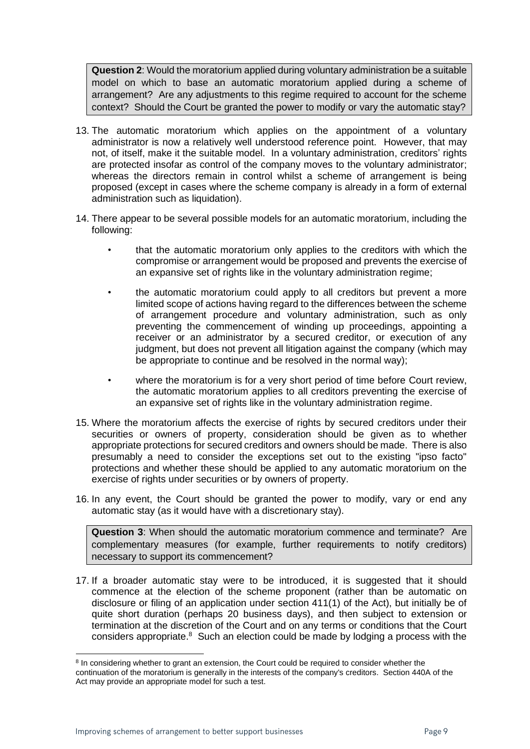**Question 2**: Would the moratorium applied during voluntary administration be a suitable model on which to base an automatic moratorium applied during a scheme of arrangement? Are any adjustments to this regime required to account for the scheme context? Should the Court be granted the power to modify or vary the automatic stay?

- 13. The automatic moratorium which applies on the appointment of a voluntary administrator is now a relatively well understood reference point. However, that may not, of itself, make it the suitable model. In a voluntary administration, creditors' rights are protected insofar as control of the company moves to the voluntary administrator; whereas the directors remain in control whilst a scheme of arrangement is being proposed (except in cases where the scheme company is already in a form of external administration such as liquidation).
- 14. There appear to be several possible models for an automatic moratorium, including the following:
	- that the automatic moratorium only applies to the creditors with which the compromise or arrangement would be proposed and prevents the exercise of an expansive set of rights like in the voluntary administration regime;
	- the automatic moratorium could apply to all creditors but prevent a more limited scope of actions having regard to the differences between the scheme of arrangement procedure and voluntary administration, such as only preventing the commencement of winding up proceedings, appointing a receiver or an administrator by a secured creditor, or execution of any judgment, but does not prevent all litigation against the company (which may be appropriate to continue and be resolved in the normal way);
	- where the moratorium is for a very short period of time before Court review, the automatic moratorium applies to all creditors preventing the exercise of an expansive set of rights like in the voluntary administration regime.
- 15. Where the moratorium affects the exercise of rights by secured creditors under their securities or owners of property, consideration should be given as to whether appropriate protections for secured creditors and owners should be made. There is also presumably a need to consider the exceptions set out to the existing "ipso facto" protections and whether these should be applied to any automatic moratorium on the exercise of rights under securities or by owners of property.
- 16. In any event, the Court should be granted the power to modify, vary or end any automatic stay (as it would have with a discretionary stay).

**Question 3**: When should the automatic moratorium commence and terminate? Are complementary measures (for example, further requirements to notify creditors) necessary to support its commencement?

17. If a broader automatic stay were to be introduced, it is suggested that it should commence at the election of the scheme proponent (rather than be automatic on disclosure or filing of an application under section 411(1) of the Act), but initially be of quite short duration (perhaps 20 business days), and then subject to extension or termination at the discretion of the Court and on any terms or conditions that the Court considers appropriate.<sup>8</sup> Such an election could be made by lodging a process with the

<sup>&</sup>lt;sup>8</sup> In considering whether to grant an extension, the Court could be required to consider whether the continuation of the moratorium is generally in the interests of the company's creditors. Section 440A of the Act may provide an appropriate model for such a test.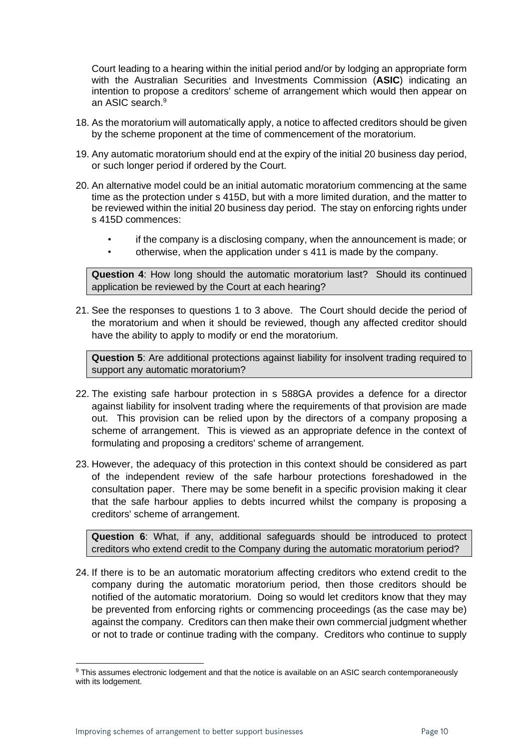Court leading to a hearing within the initial period and/or by lodging an appropriate form with the Australian Securities and Investments Commission (**ASIC**) indicating an intention to propose a creditors' scheme of arrangement which would then appear on an ASIC search.<sup>9</sup>

- 18. As the moratorium will automatically apply, a notice to affected creditors should be given by the scheme proponent at the time of commencement of the moratorium.
- 19. Any automatic moratorium should end at the expiry of the initial 20 business day period, or such longer period if ordered by the Court.
- 20. An alternative model could be an initial automatic moratorium commencing at the same time as the protection under s 415D, but with a more limited duration, and the matter to be reviewed within the initial 20 business day period. The stay on enforcing rights under s 415D commences:
	- if the company is a disclosing company, when the announcement is made; or
	- otherwise, when the application under s 411 is made by the company.

**Question 4**: How long should the automatic moratorium last? Should its continued application be reviewed by the Court at each hearing?

21. See the responses to questions 1 to 3 above. The Court should decide the period of the moratorium and when it should be reviewed, though any affected creditor should have the ability to apply to modify or end the moratorium.

**Question 5**: Are additional protections against liability for insolvent trading required to support any automatic moratorium?

- 22. The existing safe harbour protection in s 588GA provides a defence for a director against liability for insolvent trading where the requirements of that provision are made out. This provision can be relied upon by the directors of a company proposing a scheme of arrangement. This is viewed as an appropriate defence in the context of formulating and proposing a creditors' scheme of arrangement.
- 23. However, the adequacy of this protection in this context should be considered as part of the independent review of the safe harbour protections foreshadowed in the consultation paper. There may be some benefit in a specific provision making it clear that the safe harbour applies to debts incurred whilst the company is proposing a creditors' scheme of arrangement.

**Question 6**: What, if any, additional safeguards should be introduced to protect creditors who extend credit to the Company during the automatic moratorium period?

24. If there is to be an automatic moratorium affecting creditors who extend credit to the company during the automatic moratorium period, then those creditors should be notified of the automatic moratorium. Doing so would let creditors know that they may be prevented from enforcing rights or commencing proceedings (as the case may be) against the company. Creditors can then make their own commercial judgment whether or not to trade or continue trading with the company. Creditors who continue to supply

<sup>&</sup>lt;sup>9</sup> This assumes electronic lodgement and that the notice is available on an ASIC search contemporaneously with its lodgement.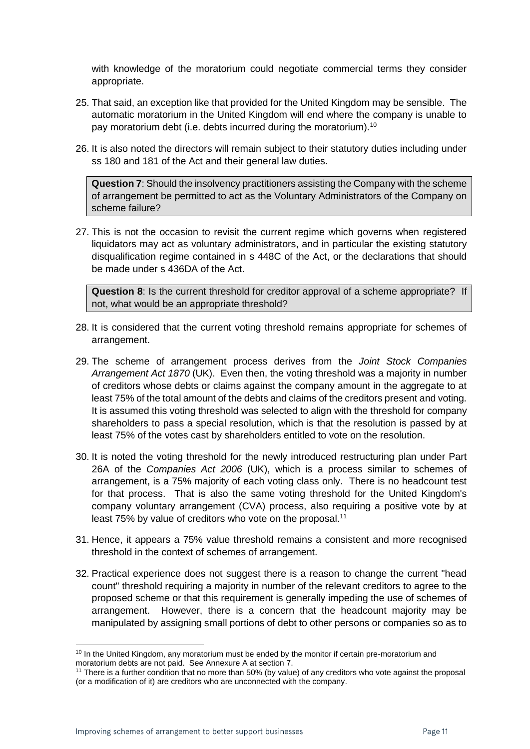with knowledge of the moratorium could negotiate commercial terms they consider appropriate.

- 25. That said, an exception like that provided for the United Kingdom may be sensible. The automatic moratorium in the United Kingdom will end where the company is unable to pay moratorium debt (i.e. debts incurred during the moratorium).<sup>10</sup>
- 26. It is also noted the directors will remain subject to their statutory duties including under ss 180 and 181 of the Act and their general law duties.

**Question 7**: Should the insolvency practitioners assisting the Company with the scheme of arrangement be permitted to act as the Voluntary Administrators of the Company on scheme failure?

27. This is not the occasion to revisit the current regime which governs when registered liquidators may act as voluntary administrators, and in particular the existing statutory disqualification regime contained in s 448C of the Act, or the declarations that should be made under s 436DA of the Act.

**Question 8**: Is the current threshold for creditor approval of a scheme appropriate? If not, what would be an appropriate threshold?

- 28. It is considered that the current voting threshold remains appropriate for schemes of arrangement.
- 29. The scheme of arrangement process derives from the *Joint Stock Companies Arrangement Act 1870* (UK). Even then, the voting threshold was a majority in number of creditors whose debts or claims against the company amount in the aggregate to at least 75% of the total amount of the debts and claims of the creditors present and voting. It is assumed this voting threshold was selected to align with the threshold for company shareholders to pass a special resolution, which is that the resolution is passed by at least 75% of the votes cast by shareholders entitled to vote on the resolution.
- 30. It is noted the voting threshold for the newly introduced restructuring plan under Part 26A of the *Companies Act 2006* (UK), which is a process similar to schemes of arrangement, is a 75% majority of each voting class only. There is no headcount test for that process. That is also the same voting threshold for the United Kingdom's company voluntary arrangement (CVA) process, also requiring a positive vote by at least 75% by value of creditors who vote on the proposal.<sup>11</sup>
- 31. Hence, it appears a 75% value threshold remains a consistent and more recognised threshold in the context of schemes of arrangement.
- 32. Practical experience does not suggest there is a reason to change the current "head count" threshold requiring a majority in number of the relevant creditors to agree to the proposed scheme or that this requirement is generally impeding the use of schemes of arrangement. However, there is a concern that the headcount majority may be manipulated by assigning small portions of debt to other persons or companies so as to

<sup>&</sup>lt;sup>10</sup> In the United Kingdom, any moratorium must be ended by the monitor if certain pre-moratorium and moratorium debts are not paid. See Annexure A at section 7.

<sup>&</sup>lt;sup>11</sup> There is a further condition that no more than 50% (by value) of any creditors who vote against the proposal (or a modification of it) are creditors who are unconnected with the company.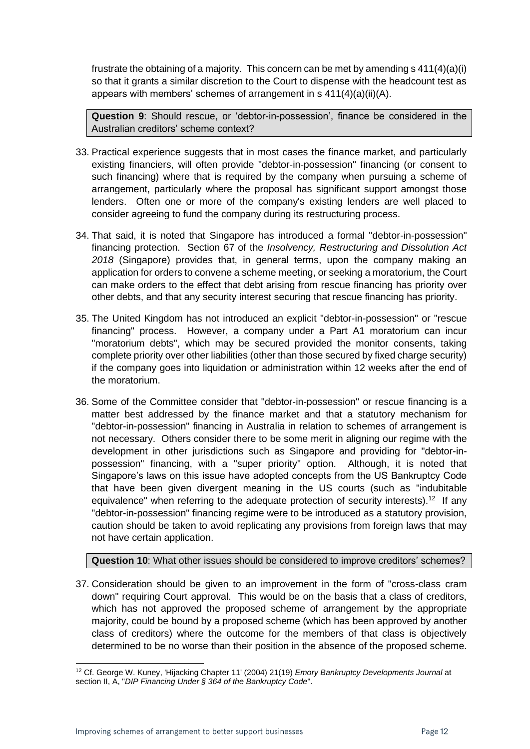frustrate the obtaining of a majority. This concern can be met by amending s 411(4)(a)(i) so that it grants a similar discretion to the Court to dispense with the headcount test as appears with members' schemes of arrangement in s 411(4)(a)(ii)(A).

**Question 9**: Should rescue, or 'debtor-in-possession', finance be considered in the Australian creditors' scheme context?

- 33. Practical experience suggests that in most cases the finance market, and particularly existing financiers, will often provide "debtor-in-possession" financing (or consent to such financing) where that is required by the company when pursuing a scheme of arrangement, particularly where the proposal has significant support amongst those lenders. Often one or more of the company's existing lenders are well placed to consider agreeing to fund the company during its restructuring process.
- 34. That said, it is noted that Singapore has introduced a formal "debtor-in-possession" financing protection. Section 67 of the *Insolvency, Restructuring and Dissolution Act 2018* (Singapore) provides that, in general terms, upon the company making an application for orders to convene a scheme meeting, or seeking a moratorium, the Court can make orders to the effect that debt arising from rescue financing has priority over other debts, and that any security interest securing that rescue financing has priority.
- 35. The United Kingdom has not introduced an explicit "debtor-in-possession" or "rescue financing" process. However, a company under a Part A1 moratorium can incur "moratorium debts", which may be secured provided the monitor consents, taking complete priority over other liabilities (other than those secured by fixed charge security) if the company goes into liquidation or administration within 12 weeks after the end of the moratorium.
- 36. Some of the Committee consider that "debtor-in-possession" or rescue financing is a matter best addressed by the finance market and that a statutory mechanism for "debtor-in-possession" financing in Australia in relation to schemes of arrangement is not necessary. Others consider there to be some merit in aligning our regime with the development in other jurisdictions such as Singapore and providing for "debtor-inpossession" financing, with a "super priority" option. Although, it is noted that Singapore's laws on this issue have adopted concepts from the US Bankruptcy Code that have been given divergent meaning in the US courts (such as "indubitable equivalence" when referring to the adequate protection of security interests).<sup>12</sup> If any "debtor-in-possession" financing regime were to be introduced as a statutory provision, caution should be taken to avoid replicating any provisions from foreign laws that may not have certain application.

**Question 10**: What other issues should be considered to improve creditors' schemes?

37. Consideration should be given to an improvement in the form of "cross-class cram down" requiring Court approval. This would be on the basis that a class of creditors, which has not approved the proposed scheme of arrangement by the appropriate majority, could be bound by a proposed scheme (which has been approved by another class of creditors) where the outcome for the members of that class is objectively determined to be no worse than their position in the absence of the proposed scheme.

<sup>12</sup> Cf. George W. Kuney, 'Hijacking Chapter 11' (2004) 21(19) *Emory Bankruptcy Developments Journal* at section II, A, "*DIP Financing Under § 364 of the Bankruptcy Code*".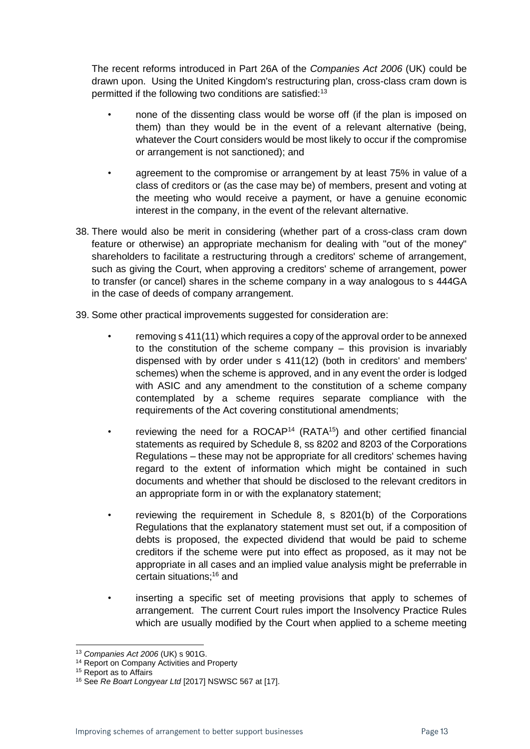The recent reforms introduced in Part 26A of the *Companies Act 2006* (UK) could be drawn upon. Using the United Kingdom's restructuring plan, cross-class cram down is permitted if the following two conditions are satisfied:<sup>13</sup>

- none of the dissenting class would be worse off (if the plan is imposed on them) than they would be in the event of a relevant alternative (being, whatever the Court considers would be most likely to occur if the compromise or arrangement is not sanctioned); and
- agreement to the compromise or arrangement by at least 75% in value of a class of creditors or (as the case may be) of members, present and voting at the meeting who would receive a payment, or have a genuine economic interest in the company, in the event of the relevant alternative.
- 38. There would also be merit in considering (whether part of a cross-class cram down feature or otherwise) an appropriate mechanism for dealing with "out of the money" shareholders to facilitate a restructuring through a creditors' scheme of arrangement, such as giving the Court, when approving a creditors' scheme of arrangement, power to transfer (or cancel) shares in the scheme company in a way analogous to s 444GA in the case of deeds of company arrangement.

39. Some other practical improvements suggested for consideration are:

- removing s 411(11) which requires a copy of the approval order to be annexed to the constitution of the scheme company – this provision is invariably dispensed with by order under s 411(12) (both in creditors' and members' schemes) when the scheme is approved, and in any event the order is lodged with ASIC and any amendment to the constitution of a scheme company contemplated by a scheme requires separate compliance with the requirements of the Act covering constitutional amendments;
- reviewing the need for a ROCAP<sup>14</sup> (RATA<sup>15</sup>) and other certified financial statements as required by Schedule 8, ss 8202 and 8203 of the Corporations Regulations – these may not be appropriate for all creditors' schemes having regard to the extent of information which might be contained in such documents and whether that should be disclosed to the relevant creditors in an appropriate form in or with the explanatory statement;
- reviewing the requirement in Schedule 8, s 8201(b) of the Corporations Regulations that the explanatory statement must set out, if a composition of debts is proposed, the expected dividend that would be paid to scheme creditors if the scheme were put into effect as proposed, as it may not be appropriate in all cases and an implied value analysis might be preferrable in certain situations; <sup>16</sup> and
- inserting a specific set of meeting provisions that apply to schemes of arrangement. The current Court rules import the Insolvency Practice Rules which are usually modified by the Court when applied to a scheme meeting

<sup>13</sup> *Companies Act 2006* (UK) s 901G.

<sup>&</sup>lt;sup>14</sup> Report on Company Activities and Property

<sup>&</sup>lt;sup>15</sup> Report as to Affairs

<sup>16</sup> See *Re Boart Longyear Ltd* [2017] NSWSC 567 at [17].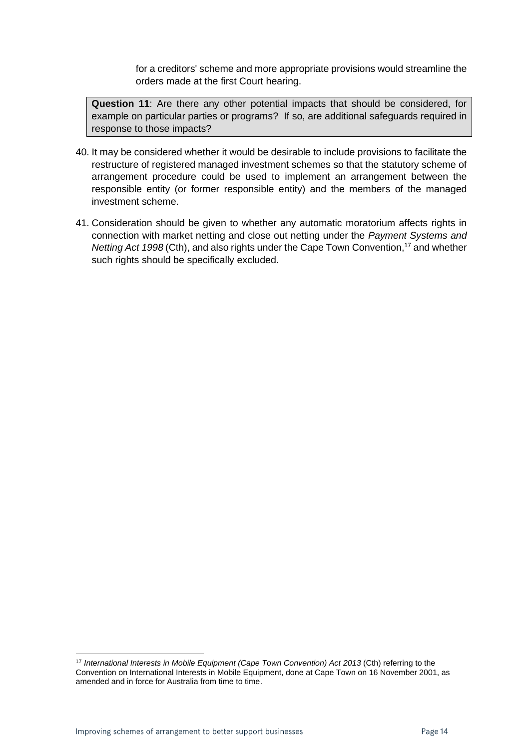for a creditors' scheme and more appropriate provisions would streamline the orders made at the first Court hearing.

**Question 11**: Are there any other potential impacts that should be considered, for example on particular parties or programs? If so, are additional safeguards required in response to those impacts?

- 40. It may be considered whether it would be desirable to include provisions to facilitate the restructure of registered managed investment schemes so that the statutory scheme of arrangement procedure could be used to implement an arrangement between the responsible entity (or former responsible entity) and the members of the managed investment scheme.
- 41. Consideration should be given to whether any automatic moratorium affects rights in connection with market netting and close out netting under the *Payment Systems and Netting Act 1998* (Cth), and also rights under the Cape Town Convention, <sup>17</sup> and whether such rights should be specifically excluded.

<sup>17</sup> *International Interests in Mobile Equipment (Cape Town Convention) Act 2013* (Cth) referring to the Convention on International Interests in Mobile Equipment, done at Cape Town on 16 November 2001, as amended and in force for Australia from time to time.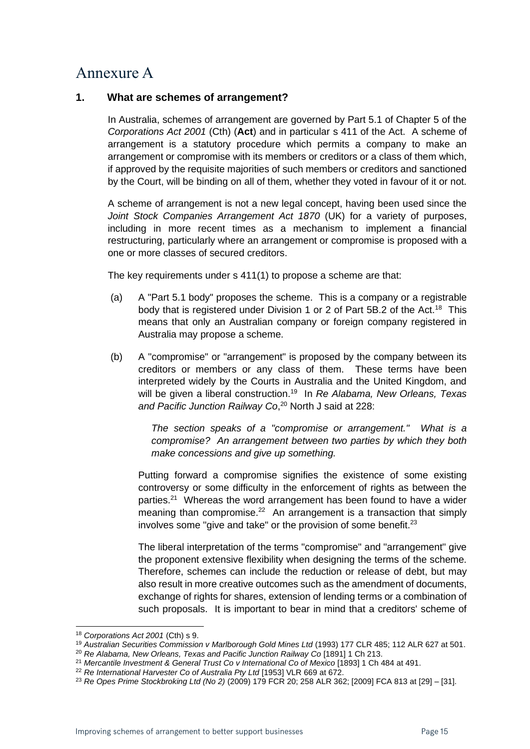### <span id="page-14-0"></span>Annexure A

#### **1. What are schemes of arrangement?**

In Australia, schemes of arrangement are governed by Part 5.1 of Chapter 5 of the *Corporations Act 2001* (Cth) (**Act**) and in particular s 411 of the Act. A scheme of arrangement is a statutory procedure which permits a company to make an arrangement or compromise with its members or creditors or a class of them which, if approved by the requisite majorities of such members or creditors and sanctioned by the Court, will be binding on all of them, whether they voted in favour of it or not.

A scheme of arrangement is not a new legal concept, having been used since the *Joint Stock Companies Arrangement Act 1870* (UK) for a variety of purposes, including in more recent times as a mechanism to implement a financial restructuring, particularly where an arrangement or compromise is proposed with a one or more classes of secured creditors.

The key requirements under s 411(1) to propose a scheme are that:

- (a) A "Part 5.1 body" proposes the scheme. This is a company or a registrable body that is registered under Division 1 or 2 of Part 5B.2 of the Act.<sup>18</sup> This means that only an Australian company or foreign company registered in Australia may propose a scheme.
- (b) A "compromise" or "arrangement" is proposed by the company between its creditors or members or any class of them. These terms have been interpreted widely by the Courts in Australia and the United Kingdom, and will be given a liberal construction.<sup>19</sup> In *Re Alabama, New Orleans, Texas*  and Pacific Junction Railway Co,<sup>20</sup> North J said at 228:

*The section speaks of a "compromise or arrangement." What is a compromise? An arrangement between two parties by which they both make concessions and give up something.*

Putting forward a compromise signifies the existence of some existing controversy or some difficulty in the enforcement of rights as between the parties.<sup>21</sup> Whereas the word arrangement has been found to have a wider meaning than compromise. $22$  An arrangement is a transaction that simply involves some "give and take" or the provision of some benefit.<sup>23</sup>

The liberal interpretation of the terms "compromise" and "arrangement" give the proponent extensive flexibility when designing the terms of the scheme. Therefore, schemes can include the reduction or release of debt, but may also result in more creative outcomes such as the amendment of documents, exchange of rights for shares, extension of lending terms or a combination of such proposals. It is important to bear in mind that a creditors' scheme of

<sup>18</sup> *Corporations Act 2001* (Cth) s 9.

<sup>19</sup> *Australian Securities Commission v Marlborough Gold Mines Ltd* (1993) 177 CLR 485; 112 ALR 627 at 501.

<sup>20</sup> *Re Alabama, New Orleans, Texas and Pacific Junction Railway Co* [1891] 1 Ch 213.

<sup>21</sup> *Mercantile Investment & General Trust Co v International Co of Mexico* [1893] 1 Ch 484 at 491.

<sup>22</sup> *Re International Harvester Co of Australia Pty Ltd* [1953] VLR 669 at 672.

<sup>23</sup> *Re Opes Prime Stockbroking Ltd (No 2)* (2009) 179 FCR 20; 258 ALR 362; [2009] FCA 813 at [29] – [31].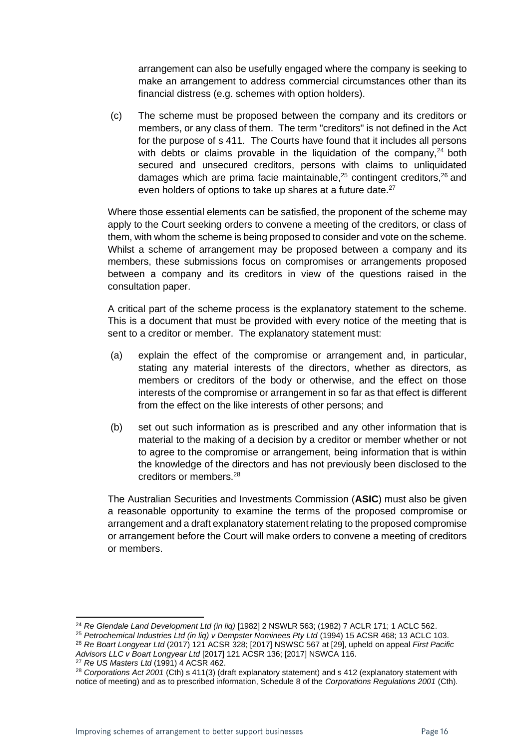arrangement can also be usefully engaged where the company is seeking to make an arrangement to address commercial circumstances other than its financial distress (e.g. schemes with option holders).

(c) The scheme must be proposed between the company and its creditors or members, or any class of them. The term "creditors" is not defined in the Act for the purpose of s 411. The Courts have found that it includes all persons with debts or claims provable in the liquidation of the company,  $24$  both secured and unsecured creditors, persons with claims to unliquidated damages which are prima facie maintainable, $25$  contingent creditors,  $26$  and even holders of options to take up shares at a future date.<sup>27</sup>

Where those essential elements can be satisfied, the proponent of the scheme may apply to the Court seeking orders to convene a meeting of the creditors, or class of them, with whom the scheme is being proposed to consider and vote on the scheme. Whilst a scheme of arrangement may be proposed between a company and its members, these submissions focus on compromises or arrangements proposed between a company and its creditors in view of the questions raised in the consultation paper.

A critical part of the scheme process is the explanatory statement to the scheme. This is a document that must be provided with every notice of the meeting that is sent to a creditor or member. The explanatory statement must:

- (a) explain the effect of the compromise or arrangement and, in particular, stating any material interests of the directors, whether as directors, as members or creditors of the body or otherwise, and the effect on those interests of the compromise or arrangement in so far as that effect is different from the effect on the like interests of other persons; and
- (b) set out such information as is prescribed and any other information that is material to the making of a decision by a creditor or member whether or not to agree to the compromise or arrangement, being information that is within the knowledge of the directors and has not previously been disclosed to the creditors or members.<sup>28</sup>

The Australian Securities and Investments Commission (**ASIC**) must also be given a reasonable opportunity to examine the terms of the proposed compromise or arrangement and a draft explanatory statement relating to the proposed compromise or arrangement before the Court will make orders to convene a meeting of creditors or members.

<sup>24</sup> *Re Glendale Land Development Ltd (in liq)* [1982] 2 NSWLR 563; (1982) 7 ACLR 171; 1 ACLC 562.

<sup>&</sup>lt;sup>25</sup> Petrochemical Industries Ltd (in liq) v Dempster Nominees Pty Ltd (1994) 15 ACSR 468; 13 ACLC 103. <sup>26</sup> *Re Boart Longyear Ltd* (2017) 121 ACSR 328; [2017] NSWSC 567 at [29], upheld on appeal *First Pacific* 

*Advisors LLC v Boart Longyear Ltd* [2017] 121 ACSR 136; [2017] NSWCA 116.

<sup>27</sup> *Re US Masters Ltd* (1991) 4 ACSR 462.

<sup>28</sup> *Corporations Act 2001* (Cth) s 411(3) (draft explanatory statement) and s 412 (explanatory statement with notice of meeting) and as to prescribed information, Schedule 8 of the *Corporations Regulations 2001* (Cth).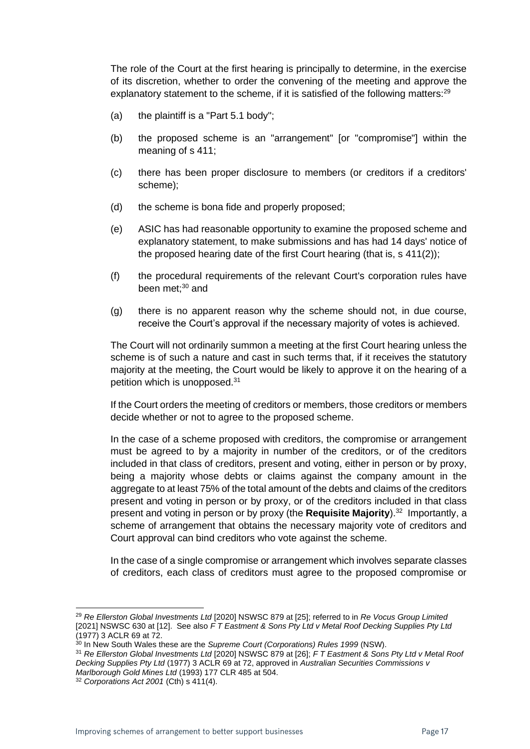The role of the Court at the first hearing is principally to determine, in the exercise of its discretion, whether to order the convening of the meeting and approve the explanatory statement to the scheme, if it is satisfied of the following matters:<sup>29</sup>

- (a) the plaintiff is a "Part 5.1 body";
- (b) the proposed scheme is an "arrangement" [or "compromise"] within the meaning of s 411;
- (c) there has been proper disclosure to members (or creditors if a creditors' scheme);
- (d) the scheme is bona fide and properly proposed;
- (e) ASIC has had reasonable opportunity to examine the proposed scheme and explanatory statement, to make submissions and has had 14 days' notice of the proposed hearing date of the first Court hearing (that is, s 411(2));
- (f) the procedural requirements of the relevant Court's corporation rules have been met: $30$  and
- (g) there is no apparent reason why the scheme should not, in due course, receive the Court's approval if the necessary majority of votes is achieved.

The Court will not ordinarily summon a meeting at the first Court hearing unless the scheme is of such a nature and cast in such terms that, if it receives the statutory majority at the meeting, the Court would be likely to approve it on the hearing of a petition which is unopposed.<sup>31</sup>

If the Court orders the meeting of creditors or members, those creditors or members decide whether or not to agree to the proposed scheme.

In the case of a scheme proposed with creditors, the compromise or arrangement must be agreed to by a majority in number of the creditors, or of the creditors included in that class of creditors, present and voting, either in person or by proxy, being a majority whose debts or claims against the company amount in the aggregate to at least 75% of the total amount of the debts and claims of the creditors present and voting in person or by proxy, or of the creditors included in that class present and voting in person or by proxy (the **Requisite Majority**).<sup>32</sup> Importantly, a scheme of arrangement that obtains the necessary majority vote of creditors and Court approval can bind creditors who vote against the scheme.

In the case of a single compromise or arrangement which involves separate classes of creditors, each class of creditors must agree to the proposed compromise or

<sup>29</sup> *Re Ellerston Global Investments Ltd* [2020] NSWSC 879 at [25]; referred to in *Re Vocus Group Limited* [2021] NSWSC 630 at [12]. See also *F T Eastment & Sons Pty Ltd v Metal Roof Decking Supplies Pty Ltd* (1977) 3 ACLR 69 at 72.

<sup>30</sup> In New South Wales these are the *Supreme Court (Corporations) Rules 1999* (NSW).

<sup>31</sup> *Re Ellerston Global Investments Ltd* [2020] NSWSC 879 at [26]; *F T Eastment & Sons Pty Ltd v Metal Roof Decking Supplies Pty Ltd* (1977) 3 ACLR 69 at 72, approved in *Australian Securities Commissions v Marlborough Gold Mines Ltd* (1993) 177 CLR 485 at 504.

<sup>32</sup> *Corporations Act 2001* (Cth) s 411(4).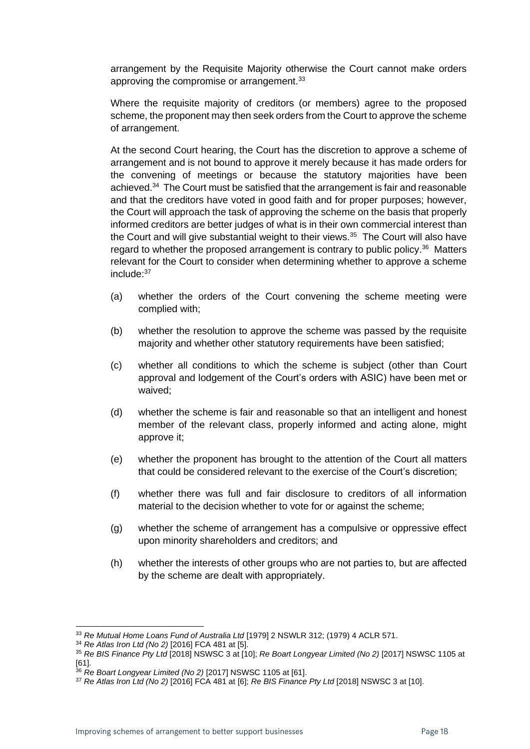arrangement by the Requisite Majority otherwise the Court cannot make orders approving the compromise or arrangement.<sup>33</sup>

Where the requisite majority of creditors (or members) agree to the proposed scheme, the proponent may then seek orders from the Court to approve the scheme of arrangement.

At the second Court hearing, the Court has the discretion to approve a scheme of arrangement and is not bound to approve it merely because it has made orders for the convening of meetings or because the statutory majorities have been achieved.<sup>34</sup> The Court must be satisfied that the arrangement is fair and reasonable and that the creditors have voted in good faith and for proper purposes; however, the Court will approach the task of approving the scheme on the basis that properly informed creditors are better judges of what is in their own commercial interest than the Court and will give substantial weight to their views. $35$  The Court will also have regard to whether the proposed arrangement is contrary to public policy.<sup>36</sup> Matters relevant for the Court to consider when determining whether to approve a scheme include:<sup>37</sup>

- (a) whether the orders of the Court convening the scheme meeting were complied with;
- (b) whether the resolution to approve the scheme was passed by the requisite majority and whether other statutory requirements have been satisfied;
- (c) whether all conditions to which the scheme is subject (other than Court approval and lodgement of the Court's orders with ASIC) have been met or waived;
- (d) whether the scheme is fair and reasonable so that an intelligent and honest member of the relevant class, properly informed and acting alone, might approve it;
- (e) whether the proponent has brought to the attention of the Court all matters that could be considered relevant to the exercise of the Court's discretion;
- (f) whether there was full and fair disclosure to creditors of all information material to the decision whether to vote for or against the scheme;
- (g) whether the scheme of arrangement has a compulsive or oppressive effect upon minority shareholders and creditors; and
- (h) whether the interests of other groups who are not parties to, but are affected by the scheme are dealt with appropriately.

<sup>33</sup> *Re Mutual Home Loans Fund of Australia Ltd* [1979] 2 NSWLR 312; (1979) 4 ACLR 571.

<sup>34</sup> *Re Atlas Iron Ltd (No 2)* [2016] FCA 481 at [5].

<sup>35</sup> *Re BIS Finance Pty Ltd* [2018] NSWSC 3 at [10]; *Re Boart Longyear Limited (No 2)* [2017] NSWSC 1105 at

<sup>[61].</sup> <sup>36</sup> *Re Boart Longyear Limited (No 2)* [2017] NSWSC 1105 at [61].

<sup>37</sup> *Re Atlas Iron Ltd (No 2)* [2016] FCA 481 at [6]; *Re BIS Finance Pty Ltd* [2018] NSWSC 3 at [10].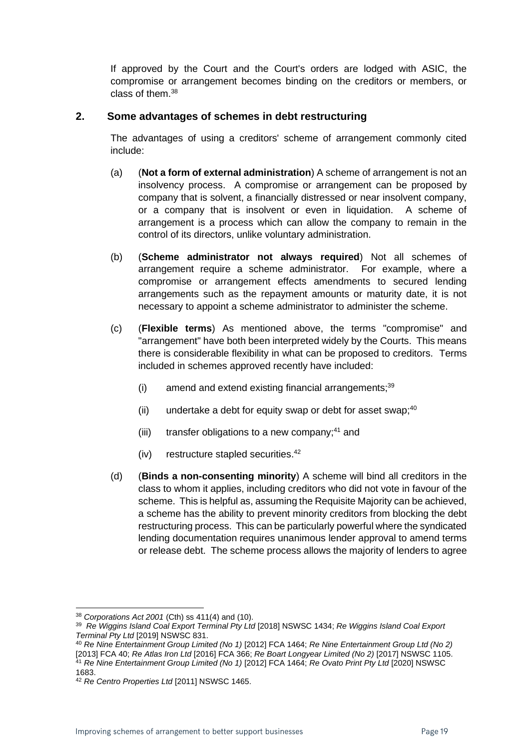If approved by the Court and the Court's orders are lodged with ASIC, the compromise or arrangement becomes binding on the creditors or members, or class of them.<sup>38</sup>

#### **2. Some advantages of schemes in debt restructuring**

The advantages of using a creditors' scheme of arrangement commonly cited include:

- (a) (**Not a form of external administration**) A scheme of arrangement is not an insolvency process. A compromise or arrangement can be proposed by company that is solvent, a financially distressed or near insolvent company, or a company that is insolvent or even in liquidation. A scheme of arrangement is a process which can allow the company to remain in the control of its directors, unlike voluntary administration.
- (b) (**Scheme administrator not always required**) Not all schemes of arrangement require a scheme administrator. For example, where a compromise or arrangement effects amendments to secured lending arrangements such as the repayment amounts or maturity date, it is not necessary to appoint a scheme administrator to administer the scheme.
- (c) (**Flexible terms**) As mentioned above, the terms "compromise" and "arrangement" have both been interpreted widely by the Courts. This means there is considerable flexibility in what can be proposed to creditors. Terms included in schemes approved recently have included:
	- $(i)$  amend and extend existing financial arrangements; $39$
	- (ii) undertake a debt for equity swap or debt for asset swap;  $40^{\circ}$
	- (iii) transfer obligations to a new company; $41$  and
	- (iv) restructure stapled securities.<sup>42</sup>
- (d) (**Binds a non-consenting minority**) A scheme will bind all creditors in the class to whom it applies, including creditors who did not vote in favour of the scheme. This is helpful as, assuming the Requisite Majority can be achieved, a scheme has the ability to prevent minority creditors from blocking the debt restructuring process. This can be particularly powerful where the syndicated lending documentation requires unanimous lender approval to amend terms or release debt. The scheme process allows the majority of lenders to agree

<sup>38</sup> *Corporations Act 2001* (Cth) ss 411(4) and (10).

<sup>39</sup> *Re Wiggins Island Coal Export Terminal Pty Ltd* [2018] NSWSC 1434; *Re Wiggins Island Coal Export Terminal Pty Ltd* [2019] NSWSC 831.

<sup>40</sup> *Re Nine Entertainment Group Limited (No 1)* [2012] FCA 1464; *Re Nine Entertainment Group Ltd (No 2)* [2013] FCA 40; *Re Atlas Iron Ltd* [2016] FCA 366; *Re Boart Longyear Limited (No 2)* [2017] NSWSC 1105. <sup>41</sup> *Re Nine Entertainment Group Limited (No 1)* [2012] FCA 1464; *Re Ovato Print Pty Ltd* [2020] NSWSC 1683.

<sup>42</sup> *Re Centro Properties Ltd* [2011] NSWSC 1465.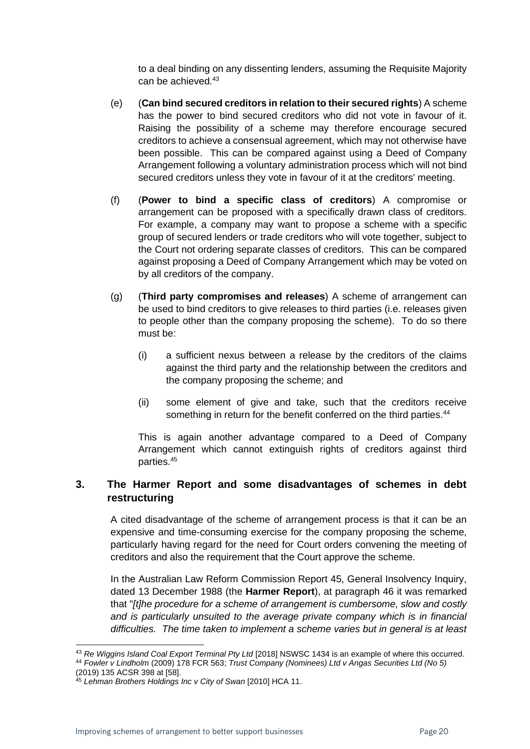to a deal binding on any dissenting lenders, assuming the Requisite Majority can be achieved.<sup>43</sup>

- (e) (**Can bind secured creditors in relation to their secured rights**) A scheme has the power to bind secured creditors who did not vote in favour of it. Raising the possibility of a scheme may therefore encourage secured creditors to achieve a consensual agreement, which may not otherwise have been possible. This can be compared against using a Deed of Company Arrangement following a voluntary administration process which will not bind secured creditors unless they vote in favour of it at the creditors' meeting.
- (f) (**Power to bind a specific class of creditors**) A compromise or arrangement can be proposed with a specifically drawn class of creditors. For example, a company may want to propose a scheme with a specific group of secured lenders or trade creditors who will vote together, subject to the Court not ordering separate classes of creditors. This can be compared against proposing a Deed of Company Arrangement which may be voted on by all creditors of the company.
- (g) (**Third party compromises and releases**) A scheme of arrangement can be used to bind creditors to give releases to third parties (i.e. releases given to people other than the company proposing the scheme). To do so there must be:
	- (i) a sufficient nexus between a release by the creditors of the claims against the third party and the relationship between the creditors and the company proposing the scheme; and
	- (ii) some element of give and take, such that the creditors receive something in return for the benefit conferred on the third parties.<sup>44</sup>

This is again another advantage compared to a Deed of Company Arrangement which cannot extinguish rights of creditors against third parties.<sup>45</sup>

#### **3. The Harmer Report and some disadvantages of schemes in debt restructuring**

A cited disadvantage of the scheme of arrangement process is that it can be an expensive and time-consuming exercise for the company proposing the scheme, particularly having regard for the need for Court orders convening the meeting of creditors and also the requirement that the Court approve the scheme.

In the Australian Law Reform Commission Report 45, General Insolvency Inquiry, dated 13 December 1988 (the **Harmer Report**), at paragraph 46 it was remarked that "*[t]he procedure for a scheme of arrangement is cumbersome, slow and costly*  and is particularly unsuited to the average private company which is in financial *difficulties. The time taken to implement a scheme varies but in general is at least* 

<sup>43</sup> *Re Wiggins Island Coal Export Terminal Pty Ltd* [2018] NSWSC 1434 is an example of where this occurred. <sup>44</sup> *Fowler v Lindholm* (2009) 178 FCR 563; *Trust Company (Nominees) Ltd v Angas Securities Ltd (No 5)*

<sup>(2019) 135</sup> ACSR 398 at [58].

<sup>45</sup> *Lehman Brothers Holdings Inc v City of Swan* [2010] HCA 11.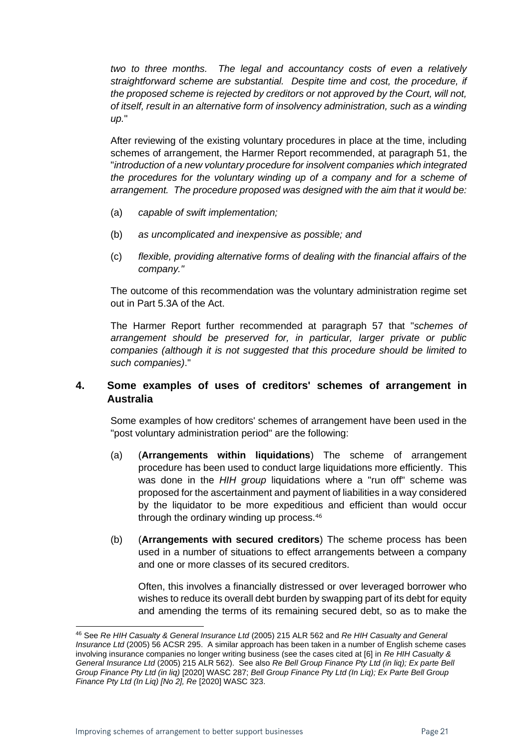*two to three months. The legal and accountancy costs of even a relatively straightforward scheme are substantial. Despite time and cost, the procedure, if the proposed scheme is rejected by creditors or not approved by the Court, will not, of itself, result in an alternative form of insolvency administration, such as a winding up.*"

After reviewing of the existing voluntary procedures in place at the time, including schemes of arrangement, the Harmer Report recommended, at paragraph 51, the "*introduction of a new voluntary procedure for insolvent companies which integrated the procedures for the voluntary winding up of a company and for a scheme of arrangement. The procedure proposed was designed with the aim that it would be:* 

- (a) *capable of swift implementation;*
- (b) *as uncomplicated and inexpensive as possible; and*
- (c) *flexible, providing alternative forms of dealing with the financial affairs of the company."*

The outcome of this recommendation was the voluntary administration regime set out in Part 5.3A of the Act.

The Harmer Report further recommended at paragraph 57 that "*schemes of arrangement should be preserved for, in particular, larger private or public companies (although it is not suggested that this procedure should be limited to such companies)*."

#### **4. Some examples of uses of creditors' schemes of arrangement in Australia**

Some examples of how creditors' schemes of arrangement have been used in the "post voluntary administration period" are the following:

- (a) (**Arrangements within liquidations**) The scheme of arrangement procedure has been used to conduct large liquidations more efficiently. This was done in the *HIH group* liquidations where a "run off" scheme was proposed for the ascertainment and payment of liabilities in a way considered by the liquidator to be more expeditious and efficient than would occur through the ordinary winding up process.<sup>46</sup>
- (b) (**Arrangements with secured creditors**) The scheme process has been used in a number of situations to effect arrangements between a company and one or more classes of its secured creditors.

Often, this involves a financially distressed or over leveraged borrower who wishes to reduce its overall debt burden by swapping part of its debt for equity and amending the terms of its remaining secured debt, so as to make the

<sup>46</sup> See *Re HIH Casualty & General Insurance Ltd* (2005) 215 ALR 562 and *Re HIH Casualty and General Insurance Ltd* (2005) 56 ACSR 295. A similar approach has been taken in a number of English scheme cases involving insurance companies no longer writing business (see the cases cited at [6] in *Re HIH Casualty & General Insurance Ltd* (2005) 215 ALR 562). See also *Re Bell Group Finance Pty Ltd (in liq); Ex parte Bell Group Finance Pty Ltd (in liq)* [2020] WASC 287; *Bell Group Finance Pty Ltd (In Liq); Ex Parte Bell Group Finance Pty Ltd (In Liq) [No 2], Re* [2020] WASC 323.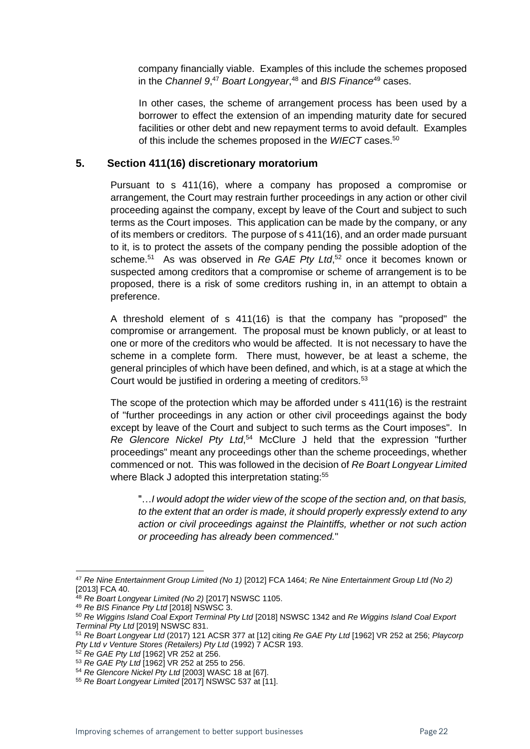company financially viable. Examples of this include the schemes proposed in the *Channel 9*, <sup>47</sup> *Boart Longyear*, <sup>48</sup> and *BIS Finance*<sup>49</sup> cases.

In other cases, the scheme of arrangement process has been used by a borrower to effect the extension of an impending maturity date for secured facilities or other debt and new repayment terms to avoid default. Examples of this include the schemes proposed in the *WIECT* cases.<sup>50</sup>

#### **5. Section 411(16) discretionary moratorium**

Pursuant to s 411(16), where a company has proposed a compromise or arrangement, the Court may restrain further proceedings in any action or other civil proceeding against the company, except by leave of the Court and subject to such terms as the Court imposes. This application can be made by the company, or any of its members or creditors. The purpose of s 411(16), and an order made pursuant to it, is to protect the assets of the company pending the possible adoption of the scheme.<sup>51</sup> As was observed in Re GAE Pty Ltd,<sup>52</sup> once it becomes known or suspected among creditors that a compromise or scheme of arrangement is to be proposed, there is a risk of some creditors rushing in, in an attempt to obtain a preference.

A threshold element of s 411(16) is that the company has "proposed" the compromise or arrangement. The proposal must be known publicly, or at least to one or more of the creditors who would be affected. It is not necessary to have the scheme in a complete form. There must, however, be at least a scheme, the general principles of which have been defined, and which, is at a stage at which the Court would be justified in ordering a meeting of creditors.<sup>53</sup>

The scope of the protection which may be afforded under s 411(16) is the restraint of "further proceedings in any action or other civil proceedings against the body except by leave of the Court and subject to such terms as the Court imposes". In *Re Glencore Nickel Pty Ltd*, <sup>54</sup> McClure J held that the expression "further proceedings" meant any proceedings other than the scheme proceedings, whether commenced or not. This was followed in the decision of *Re Boart Longyear Limited* where Black J adopted this interpretation stating:<sup>55</sup>

"…*I would adopt the wider view of the scope of the section and, on that basis, to the extent that an order is made, it should properly expressly extend to any action or civil proceedings against the Plaintiffs, whether or not such action or proceeding has already been commenced.*"

<sup>47</sup> *Re Nine Entertainment Group Limited (No 1)* [2012] FCA 1464; *Re Nine Entertainment Group Ltd (No 2)* [2013] FCA 40.

<sup>48</sup> *Re Boart Longyear Limited (No 2)* [2017] NSWSC 1105.

<sup>49</sup> *Re BIS Finance Pty Ltd* [2018] NSWSC 3.

<sup>50</sup> *Re Wiggins Island Coal Export Terminal Pty Ltd* [2018] NSWSC 1342 and *Re Wiggins Island Coal Export Terminal Pty Ltd* [2019] NSWSC 831.

<sup>51</sup> *Re Boart Longyear Ltd* (2017) 121 ACSR 377 at [12] citing *Re GAE Pty Ltd* [1962] VR 252 at 256; *Playcorp Pty Ltd v Venture Stores (Retailers) Pty Ltd* (1992) 7 ACSR 193.

<sup>52</sup> *Re GAE Pty Ltd* [1962] VR 252 at 256.

<sup>53</sup> *Re GAE Pty Ltd* [1962] VR 252 at 255 to 256.

<sup>54</sup> *Re Glencore Nickel Pty Ltd* [2003] WASC 18 at [67].

<sup>55</sup> *Re Boart Longyear Limited* [2017] NSWSC 537 at [11].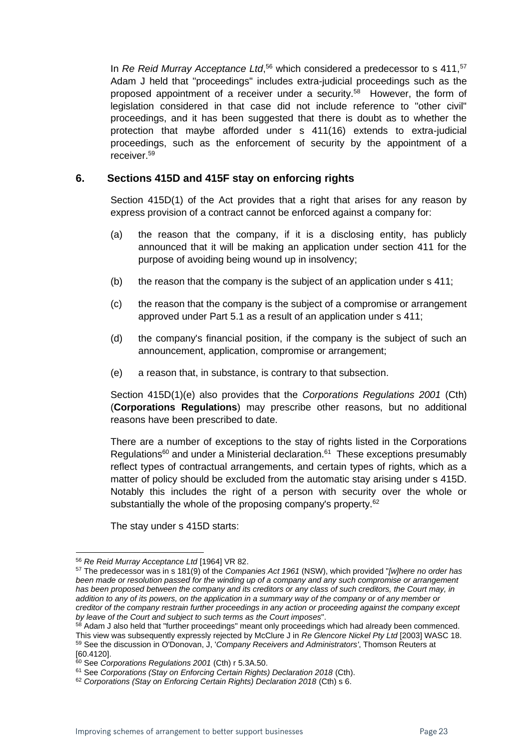In *Re Reid Murray Acceptance Ltd*,<sup>56</sup> which considered a predecessor to s 411,<sup>57</sup> Adam J held that "proceedings" includes extra-judicial proceedings such as the proposed appointment of a receiver under a security.<sup>58</sup> However, the form of legislation considered in that case did not include reference to "other civil" proceedings, and it has been suggested that there is doubt as to whether the protection that maybe afforded under s 411(16) extends to extra-judicial proceedings, such as the enforcement of security by the appointment of a receiver.<sup>59</sup>

#### **6. Sections 415D and 415F stay on enforcing rights**

Section 415D(1) of the Act provides that a right that arises for any reason by express provision of a contract cannot be enforced against a company for:

- (a) the reason that the company, if it is a disclosing entity, has publicly announced that it will be making an application under section 411 for the purpose of avoiding being wound up in insolvency;
- (b) the reason that the company is the subject of an application under s 411;
- (c) the reason that the company is the subject of a compromise or arrangement approved under Part 5.1 as a result of an application under s 411;
- (d) the company's financial position, if the company is the subject of such an announcement, application, compromise or arrangement;
- (e) a reason that, in substance, is contrary to that subsection.

Section 415D(1)(e) also provides that the *Corporations Regulations 2001* (Cth) (**Corporations Regulations**) may prescribe other reasons, but no additional reasons have been prescribed to date.

There are a number of exceptions to the stay of rights listed in the Corporations Regulations<sup>60</sup> and under a Ministerial declaration.<sup>61</sup> These exceptions presumably reflect types of contractual arrangements, and certain types of rights, which as a matter of policy should be excluded from the automatic stay arising under s 415D. Notably this includes the right of a person with security over the whole or substantially the whole of the proposing company's property.<sup>62</sup>

The stay under s 415D starts:

<sup>56</sup> *Re Reid Murray Acceptance Ltd* [1964] VR 82.

<sup>57</sup> The predecessor was in s 181(9) of the *Companies Act 1961* (NSW), which provided "*[w]here no order has been made or resolution passed for the winding up of a company and any such compromise or arrangement*  has been proposed between the company and its creditors or any class of such creditors, the Court may, in *addition to any of its powers, on the application in a summary way of the company or of any member or creditor of the company restrain further proceedings in any action or proceeding against the company except by leave of the Court and subject to such terms as the Court imposes*".

<sup>58</sup> Adam J also held that "further proceedings" meant only proceedings which had already been commenced. This view was subsequently expressly rejected by McClure J in *Re Glencore Nickel Pty Ltd* [2003] WASC 18. <sup>59</sup> See the discussion in O'Donovan, J, '*Company Receivers and Administrators'*, Thomson Reuters at [60.4120].

<sup>60</sup> See *Corporations Regulations 2001* (Cth) r 5.3A.50.

<sup>61</sup> See *Corporations (Stay on Enforcing Certain Rights) Declaration 2018* (Cth).

<sup>62</sup> *Corporations (Stay on Enforcing Certain Rights) Declaration 2018* (Cth) s 6.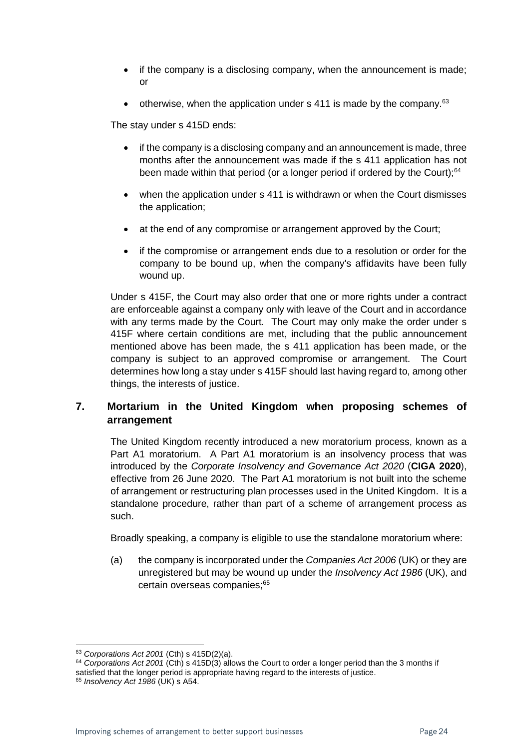- if the company is a disclosing company, when the announcement is made; or
- otherwise, when the application under s 411 is made by the company. $63$

The stay under s 415D ends:

- if the company is a disclosing company and an announcement is made, three months after the announcement was made if the s 411 application has not been made within that period (or a longer period if ordered by the Court);<sup>64</sup>
- when the application under s 411 is withdrawn or when the Court dismisses the application;
- at the end of any compromise or arrangement approved by the Court;
- if the compromise or arrangement ends due to a resolution or order for the company to be bound up, when the company's affidavits have been fully wound up.

Under s 415F, the Court may also order that one or more rights under a contract are enforceable against a company only with leave of the Court and in accordance with any terms made by the Court. The Court may only make the order under s 415F where certain conditions are met, including that the public announcement mentioned above has been made, the s 411 application has been made, or the company is subject to an approved compromise or arrangement. The Court determines how long a stay under s 415F should last having regard to, among other things, the interests of justice.

#### **7. Mortarium in the United Kingdom when proposing schemes of arrangement**

The United Kingdom recently introduced a new moratorium process, known as a Part A1 moratorium. A Part A1 moratorium is an insolvency process that was introduced by the *Corporate Insolvency and Governance Act 2020* (**CIGA 2020**), effective from 26 June 2020. The Part A1 moratorium is not built into the scheme of arrangement or restructuring plan processes used in the United Kingdom. It is a standalone procedure, rather than part of a scheme of arrangement process as such.

Broadly speaking, a company is eligible to use the standalone moratorium where:

(a) the company is incorporated under the *Companies Act 2006* (UK) or they are unregistered but may be wound up under the *Insolvency Act 1986* (UK), and certain overseas companies:<sup>65</sup>

<sup>63</sup> *Corporations Act 2001* (Cth) s 415D(2)(a).

<sup>64</sup> *Corporations Act 2001* (Cth) s 415D(3) allows the Court to order a longer period than the 3 months if satisfied that the longer period is appropriate having regard to the interests of justice.

<sup>65</sup> *Insolvency Act 1986* (UK) s A54.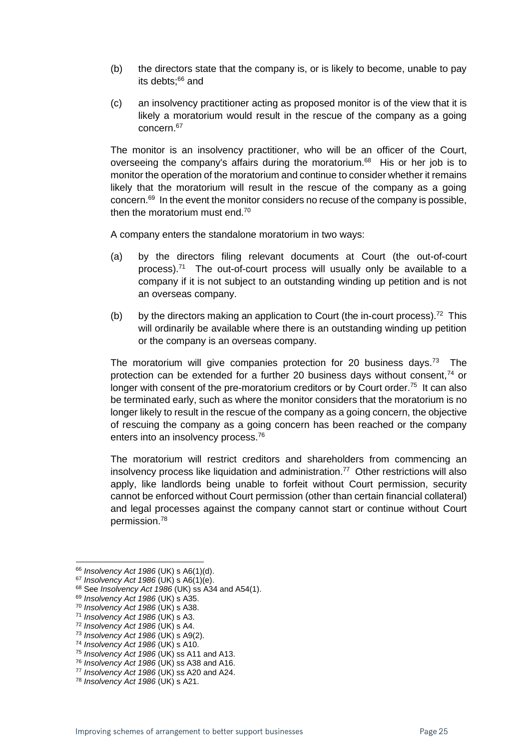- (b) the directors state that the company is, or is likely to become, unable to pay its debts;<sup>66</sup> and
- (c) an insolvency practitioner acting as proposed monitor is of the view that it is likely a moratorium would result in the rescue of the company as a going concern.<sup>67</sup>

The monitor is an insolvency practitioner, who will be an officer of the Court, overseeing the company's affairs during the moratorium.<sup>68</sup> His or her job is to monitor the operation of the moratorium and continue to consider whether it remains likely that the moratorium will result in the rescue of the company as a going concern.<sup>69</sup> In the event the monitor considers no recuse of the company is possible, then the moratorium must end.<sup>70</sup>

A company enters the standalone moratorium in two ways:

- (a) by the directors filing relevant documents at Court (the out-of-court process). $71$  The out-of-court process will usually only be available to a company if it is not subject to an outstanding winding up petition and is not an overseas company.
- (b) by the directors making an application to Court (the in-court process).<sup>72</sup> This will ordinarily be available where there is an outstanding winding up petition or the company is an overseas company.

The moratorium will give companies protection for 20 business days.<sup>73</sup> The protection can be extended for a further 20 business days without consent,<sup>74</sup> or longer with consent of the pre-moratorium creditors or by Court order.<sup>75</sup> It can also be terminated early, such as where the monitor considers that the moratorium is no longer likely to result in the rescue of the company as a going concern, the objective of rescuing the company as a going concern has been reached or the company enters into an insolvency process.<sup>76</sup>

The moratorium will restrict creditors and shareholders from commencing an insolvency process like liquidation and administration.<sup>77</sup> Other restrictions will also apply, like landlords being unable to forfeit without Court permission, security cannot be enforced without Court permission (other than certain financial collateral) and legal processes against the company cannot start or continue without Court permission.<sup>78</sup>

<sup>66</sup> *Insolvency Act 1986* (UK) s A6(1)(d).

<sup>67</sup> *Insolvency Act 1986* (UK) s A6(1)(e).

<sup>68</sup> See *Insolvency Act 1986* (UK) ss A34 and A54(1).

<sup>69</sup> *Insolvency Act 1986* (UK) s A35.

<sup>70</sup> *Insolvency Act 1986* (UK) s A38.

<sup>71</sup> *Insolvency Act 1986* (UK) s A3.

<sup>72</sup> *Insolvency Act 1986* (UK) s A4.

<sup>73</sup> *Insolvency Act 1986* (UK) s A9(2).

<sup>74</sup> *Insolvency Act 1986* (UK) s A10.

<sup>75</sup> *Insolvency Act 1986* (UK) ss A11 and A13.

<sup>76</sup> *Insolvency Act 1986* (UK) ss A38 and A16.

<sup>77</sup> *Insolvency Act 1986* (UK) ss A20 and A24.

<sup>78</sup> *Insolvency Act 1986* (UK) s A21.